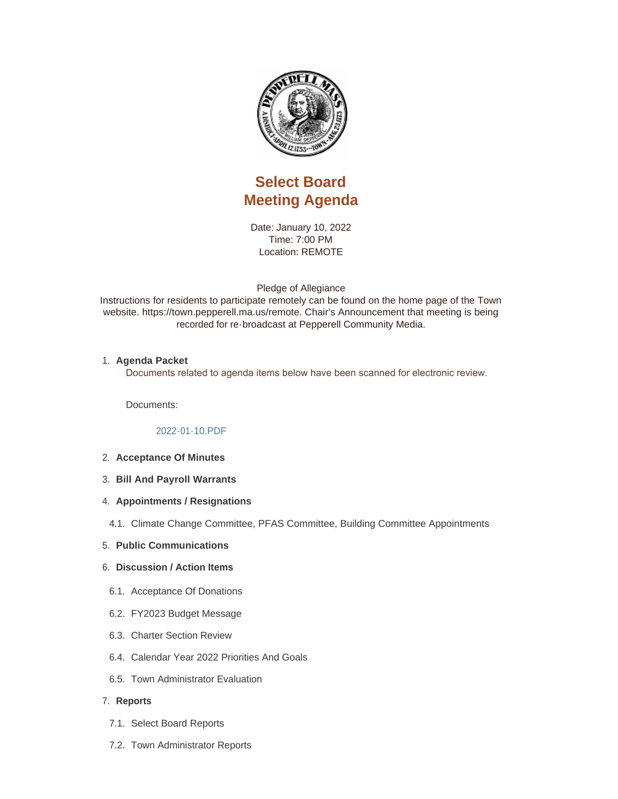

# **Select Board Meeting Agenda**

Date: January 10, 2022 Time: 7:00 PM Location: REMOTE

Pledge of Allegiance

Instructions for residents to participate remotely can be found on the home page of the Town website. https://town.pepperell.ma.us/remote. Chair's Announcement that meeting is being recorded for re-broadcast at Pepperell Community Media.

## **Agenda Packet** 1.

Documents related to agenda items below have been scanned for electronic review.

Documents:

### [2022-01-10.PDF](https://town.pepperell.ma.us/AgendaCenter/ViewFile/Item/20513?fileID=4817)

- **Acceptance Of Minutes** 2.
- **Bill And Payroll Warrants** 3.
- **4. Appointments / Resignations**
- 4.1. Climate Change Committee, PFAS Committee, Building Committee Appointments
- **Public Communications** 5.

#### **Discussion / Action Items** 6.

- 6.1. Acceptance Of Donations
- FY2023 Budget Message 6.2.
- 6.3. Charter Section Review
- 6.4. Calendar Year 2022 Priorities And Goals
- 6.5. Town Administrator Evaluation

#### **Reports** 7.

- 7.1. Select Board Reports
- 7.2. Town Administrator Reports